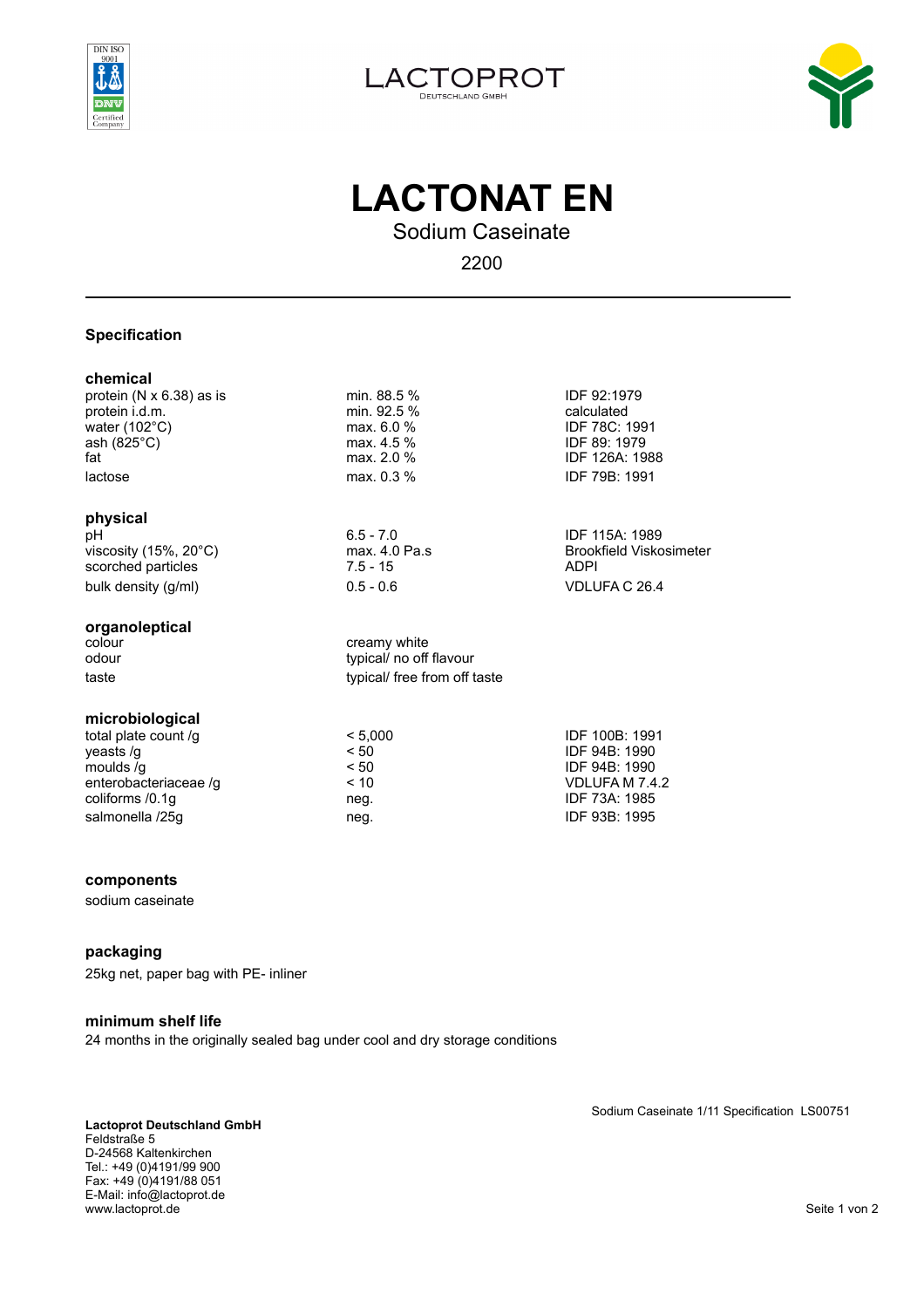





# **LACTONAT EN**

Sodium Caseinate

2200

typical/ no off flavour

# **Specification**

#### **chemical**

protein (N x 6.38) as is min. 88.5 % IDF 92:1979<br>protein i.d.m. strategy and min. 92.5 % and min. 92.5 % calculated protein i.d.m. water (102°C) max. 6.0 % max. 6.0 % IDF 78C: 1991<br>ash (825°C) max. 4.5 % IDF 89: 1979 ash (825°C)  $\overline{a}$  ash (825°C)  $\overline{a}$  max. 4.5 % IDF 89: 1979<br>fat  $\overline{a}$  max. 2.0 % IDF 126A: 19 lactose max. 0.3 % IDF 79B: 1991

## **physical**

pH<br>
viscosity (15%, 20°C) 6.5 - 7.0 IDF 115A: 1989<br>
viscosity (15%, 20°C) max, 4.0 Pa.s Brookfield Viskosimeter  $viscosity (15%, 20°C)$ scorched particles 7.5 - 15 ADPI bulk density (g/ml) 0.5 - 0.6 VDLUFA C 26.4

## **organoleptical**

colour creamy white<br>colour creamy white<br>typical/ no off taste taste typical/ free from off taste

# **microbiological**

total plate count /g  $\leq 5,000$  IDF 100B: 1991 yeasts /g  $\leq$  50  $\leq$  50 IDF 94B: 1990 moulds  $\overline{g}$  and  $\overline{g}$  and  $\overline{g}$  and  $\overline{g}$  are  $\overline{g}$  and  $\overline{g}$  and  $\overline{g}$  and  $\overline{g}$  and  $\overline{g}$  and  $\overline{g}$  and  $\overline{g}$  and  $\overline{g}$  and  $\overline{g}$  and  $\overline{g}$  and  $\overline{g}$  and  $\overline{g}$  and  $\overline{g}$ enterobacteriaceae /g  $\leq 10$ <br>coliforms /0.1g neg. coliforms /0.1g **neg.** The locality of the coliforms /0.1g and the locality of the locality of the locality of the locality of the locality of the locality of the locality of the locality of the locality of the locality of salmonella /25g neg. https://www.facebook.com/inductory/inductory/inductory/inductory/inductory/inductory/inductory/inductory/inductory/inductory/inductory/inductory/inductory/inductory/inductory/inductory/inductory/induct

# **components**

sodium caseinate

# **packaging**

25kg net, paper bag with PE- inliner

#### **minimum shelf life**

24 months in the originally sealed bag under cool and dry storage conditions

**Lactoprot Deutschland GmbH**  Feldstraße 5 D-24568 Kaltenkirchen Tel.: +49 (0)4191/99 900 Fax: +49 (0)4191/88 051 E-Mail: info@lactoprot.de www.lactoprot.de Seite 1 von 2

Sodium Caseinate 1/11 Specification LS00751

IDF 126A: 1988